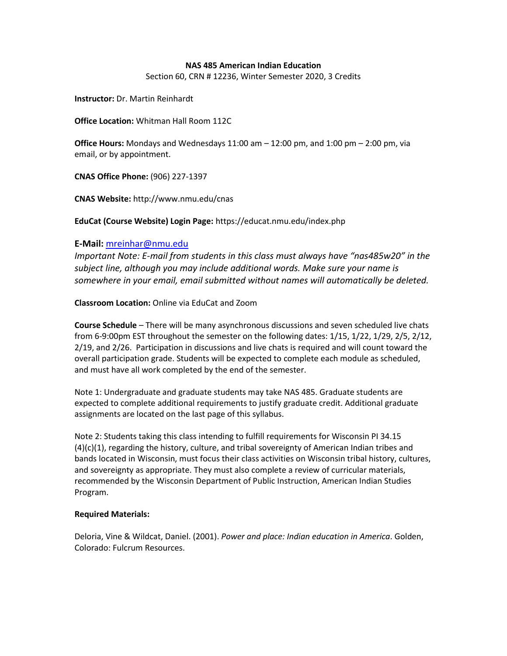## **NAS 485 American Indian Education**

Section 60, CRN # 12236, Winter Semester 2020, 3 Credits

**Instructor:** Dr. Martin Reinhardt

**Office Location:** Whitman Hall Room 112C

**Office Hours:** Mondays and Wednesdays 11:00 am – 12:00 pm, and 1:00 pm – 2:00 pm, via email, or by appointment.

**CNAS Office Phone:** (906) 227-1397

**CNAS Website:** http://www.nmu.edu/cnas

**EduCat (Course Website) Login Page:** https://educat.nmu.edu/index.php

## **E-Mail:** [mreinhar@nmu.edu](mailto:mreinhar@nmu.edu)

*Important Note: E-mail from students in this class must always have "nas485w20" in the subject line, although you may include additional words. Make sure your name is somewhere in your email, email submitted without names will automatically be deleted.*

**Classroom Location:** Online via EduCat and Zoom

**Course Schedule** – There will be many asynchronous discussions and seven scheduled live chats from 6-9:00pm EST throughout the semester on the following dates: 1/15, 1/22, 1/29, 2/5, 2/12, 2/19, and 2/26. Participation in discussions and live chats is required and will count toward the overall participation grade. Students will be expected to complete each module as scheduled, and must have all work completed by the end of the semester.

Note 1: Undergraduate and graduate students may take NAS 485. Graduate students are expected to complete additional requirements to justify graduate credit. Additional graduate assignments are located on the last page of this syllabus.

Note 2: Students taking this class intending to fulfill requirements for Wisconsin PI 34.15  $(4)(c)(1)$ , regarding the history, culture, and tribal sovereignty of American Indian tribes and bands located in Wisconsin, must focus their class activities on Wisconsin tribal history, cultures, and sovereignty as appropriate. They must also complete a review of curricular materials, recommended by the Wisconsin Department of Public Instruction, American Indian Studies Program.

# **Required Materials:**

Deloria, Vine & Wildcat, Daniel. (2001). *Power and place: Indian education in America*. Golden, Colorado: Fulcrum Resources.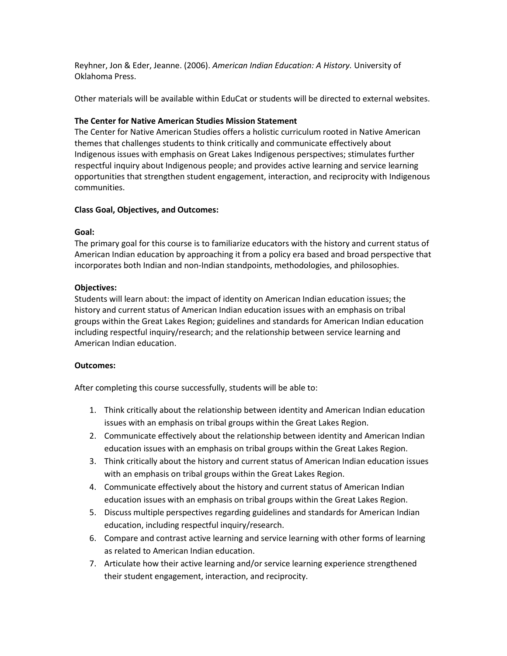Reyhner, Jon & Eder, Jeanne. (2006). *American Indian Education: A History.* University of Oklahoma Press.

Other materials will be available within EduCat or students will be directed to external websites.

# **The Center for Native American Studies Mission Statement**

The Center for Native American Studies offers a holistic curriculum rooted in Native American themes that challenges students to think critically and communicate effectively about Indigenous issues with emphasis on Great Lakes Indigenous perspectives; stimulates further respectful inquiry about Indigenous people; and provides active learning and service learning opportunities that strengthen student engagement, interaction, and reciprocity with Indigenous communities.

## **Class Goal, Objectives, and Outcomes:**

## **Goal:**

The primary goal for this course is to familiarize educators with the history and current status of American Indian education by approaching it from a policy era based and broad perspective that incorporates both Indian and non-Indian standpoints, methodologies, and philosophies.

## **Objectives:**

Students will learn about: the impact of identity on American Indian education issues; the history and current status of American Indian education issues with an emphasis on tribal groups within the Great Lakes Region; guidelines and standards for American Indian education including respectful inquiry/research; and the relationship between service learning and American Indian education.

#### **Outcomes:**

After completing this course successfully, students will be able to:

- 1. Think critically about the relationship between identity and American Indian education issues with an emphasis on tribal groups within the Great Lakes Region.
- 2. Communicate effectively about the relationship between identity and American Indian education issues with an emphasis on tribal groups within the Great Lakes Region.
- 3. Think critically about the history and current status of American Indian education issues with an emphasis on tribal groups within the Great Lakes Region.
- 4. Communicate effectively about the history and current status of American Indian education issues with an emphasis on tribal groups within the Great Lakes Region.
- 5. Discuss multiple perspectives regarding guidelines and standards for American Indian education, including respectful inquiry/research.
- 6. Compare and contrast active learning and service learning with other forms of learning as related to American Indian education.
- 7. Articulate how their active learning and/or service learning experience strengthened their student engagement, interaction, and reciprocity.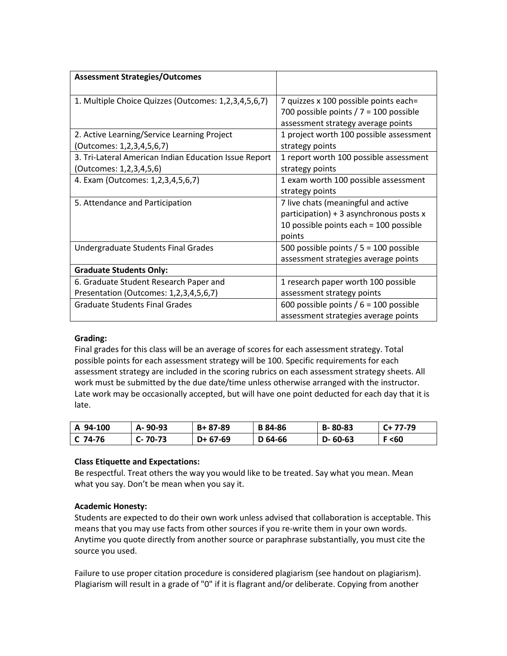| <b>Assessment Strategies/Outcomes</b>                 |                                          |
|-------------------------------------------------------|------------------------------------------|
| 1. Multiple Choice Quizzes (Outcomes: 1,2,3,4,5,6,7)  | 7 quizzes x 100 possible points each=    |
|                                                       | 700 possible points $/ 7 = 100$ possible |
|                                                       | assessment strategy average points       |
| 2. Active Learning/Service Learning Project           | 1 project worth 100 possible assessment  |
| (Outcomes: 1,2,3,4,5,6,7)                             | strategy points                          |
| 3. Tri-Lateral American Indian Education Issue Report | 1 report worth 100 possible assessment   |
| (Outcomes: 1,2,3,4,5,6)                               | strategy points                          |
| 4. Exam (Outcomes: 1,2,3,4,5,6,7)                     | 1 exam worth 100 possible assessment     |
|                                                       | strategy points                          |
| 5. Attendance and Participation                       | 7 live chats (meaningful and active      |
|                                                       | participation) + 3 asynchronous posts x  |
|                                                       | 10 possible points each = 100 possible   |
|                                                       | points                                   |
| Undergraduate Students Final Grades                   | 500 possible points $/ 5 = 100$ possible |
|                                                       | assessment strategies average points     |
| <b>Graduate Students Only:</b>                        |                                          |
| 6. Graduate Student Research Paper and                | 1 research paper worth 100 possible      |
| Presentation (Outcomes: 1,2,3,4,5,6,7)                | assessment strategy points               |
| <b>Graduate Students Final Grades</b>                 | 600 possible points $/ 6 = 100$ possible |
|                                                       | assessment strategies average points     |

# **Grading:**

Final grades for this class will be an average of scores for each assessment strategy. Total possible points for each assessment strategy will be 100. Specific requirements for each assessment strategy are included in the scoring rubrics on each assessment strategy sheets. All work must be submitted by the due date/time unless otherwise arranged with the instructor. Late work may be occasionally accepted, but will have one point deducted for each day that it is late.

| A 94-100 | A-90-93  | B+ 87-89   | <b>B</b> 84-86 | B-80-83       | $C+77-79$ |
|----------|----------|------------|----------------|---------------|-----------|
| C 74-76  | C- 70-73 | $D+ 67-69$ | D 64-66        | $D - 60 - 63$ | F < 60    |

# **Class Etiquette and Expectations:**

Be respectful. Treat others the way you would like to be treated. Say what you mean. Mean what you say. Don't be mean when you say it.

# **Academic Honesty:**

Students are expected to do their own work unless advised that collaboration is acceptable. This means that you may use facts from other sources if you re-write them in your own words. Anytime you quote directly from another source or paraphrase substantially, you must cite the source you used.

Failure to use proper citation procedure is considered plagiarism (see handout on plagiarism). Plagiarism will result in a grade of "0" if it is flagrant and/or deliberate. Copying from another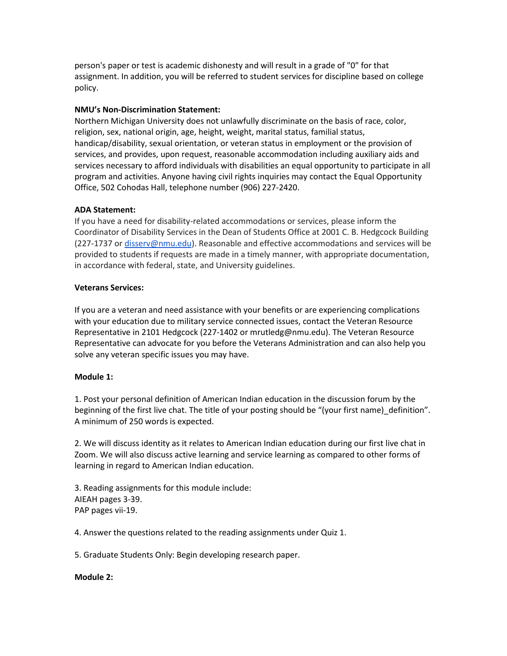person's paper or test is academic dishonesty and will result in a grade of "0" for that assignment. In addition, you will be referred to student services for discipline based on college policy.

# **NMU's Non-Discrimination Statement:**

Northern Michigan University does not unlawfully discriminate on the basis of race, color, religion, sex, national origin, age, height, weight, marital status, familial status, handicap/disability, sexual orientation, or veteran status in employment or the provision of services, and provides, upon request, reasonable accommodation including auxiliary aids and services necessary to afford individuals with disabilities an equal opportunity to participate in all program and activities. Anyone having civil rights inquiries may contact the Equal Opportunity Office, 502 Cohodas Hall, telephone number (906) 227-2420.

# **ADA Statement:**

If you have a need for disability-related accommodations or services, please inform the Coordinator of Disability Services in the Dean of Students Office at 2001 C. B. Hedgcock Building (227-1737 or [disserv@nmu.edu\)](mailto:disserv@nmu.edu). Reasonable and effective accommodations and services will be provided to students if requests are made in a timely manner, with appropriate documentation, in accordance with federal, state, and University guidelines.

# **Veterans Services:**

If you are a veteran and need assistance with your benefits or are experiencing complications with your education due to military service connected issues, contact the Veteran Resource Representative in 2101 Hedgcock (227-1402 or mrutledg@nmu.edu). The Veteran Resource Representative can advocate for you before the Veterans Administration and can also help you solve any veteran specific issues you may have.

# **Module 1:**

1. Post your personal definition of American Indian education in the discussion forum by the beginning of the first live chat. The title of your posting should be "(your first name) definition". A minimum of 250 words is expected.

2. We will discuss identity as it relates to American Indian education during our first live chat in Zoom. We will also discuss active learning and service learning as compared to other forms of learning in regard to American Indian education.

3. Reading assignments for this module include: AIEAH pages 3-39. PAP pages vii-19.

4. Answer the questions related to the reading assignments under Quiz 1.

5. Graduate Students Only: Begin developing research paper.

# **Module 2:**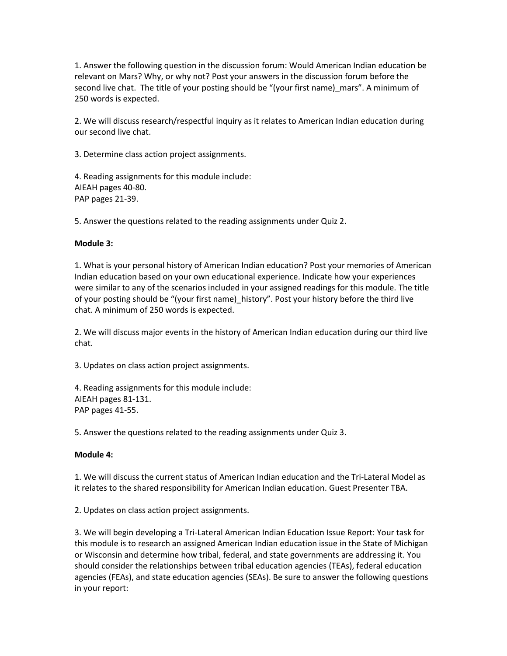1. Answer the following question in the discussion forum: Would American Indian education be relevant on Mars? Why, or why not? Post your answers in the discussion forum before the second live chat. The title of your posting should be "(your first name)\_mars". A minimum of 250 words is expected.

2. We will discuss research/respectful inquiry as it relates to American Indian education during our second live chat.

3. Determine class action project assignments.

4. Reading assignments for this module include: AIEAH pages 40-80. PAP pages 21-39.

5. Answer the questions related to the reading assignments under Quiz 2.

# **Module 3:**

1. What is your personal history of American Indian education? Post your memories of American Indian education based on your own educational experience. Indicate how your experiences were similar to any of the scenarios included in your assigned readings for this module. The title of your posting should be "(your first name) history". Post your history before the third live chat. A minimum of 250 words is expected.

2. We will discuss major events in the history of American Indian education during our third live chat.

3. Updates on class action project assignments.

4. Reading assignments for this module include: AIEAH pages 81-131. PAP pages 41-55.

5. Answer the questions related to the reading assignments under Quiz 3.

# **Module 4:**

1. We will discuss the current status of American Indian education and the Tri-Lateral Model as it relates to the shared responsibility for American Indian education. Guest Presenter TBA.

2. Updates on class action project assignments.

3. We will begin developing a Tri-Lateral American Indian Education Issue Report: Your task for this module is to research an assigned American Indian education issue in the State of Michigan or Wisconsin and determine how tribal, federal, and state governments are addressing it. You should consider the relationships between tribal education agencies (TEAs), federal education agencies (FEAs), and state education agencies (SEAs). Be sure to answer the following questions in your report: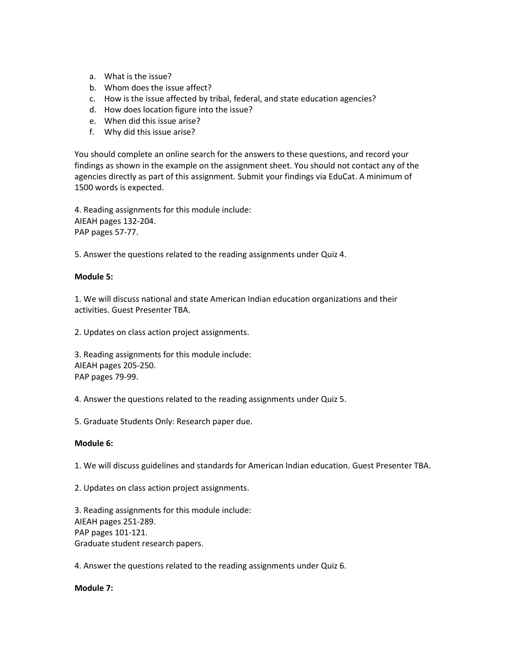- a. What is the issue?
- b. Whom does the issue affect?
- c. How is the issue affected by tribal, federal, and state education agencies?
- d. How does location figure into the issue?
- e. When did this issue arise?
- f. Why did this issue arise?

You should complete an online search for the answers to these questions, and record your findings as shown in the example on the assignment sheet. You should not contact any of the agencies directly as part of this assignment. Submit your findings via EduCat. A minimum of 1500 words is expected.

4. Reading assignments for this module include: AIEAH pages 132-204. PAP pages 57-77.

5. Answer the questions related to the reading assignments under Quiz 4.

#### **Module 5:**

1. We will discuss national and state American Indian education organizations and their activities. Guest Presenter TBA.

2. Updates on class action project assignments.

3. Reading assignments for this module include: AIEAH pages 205-250. PAP pages 79-99.

4. Answer the questions related to the reading assignments under Quiz 5.

5. Graduate Students Only: Research paper due.

#### **Module 6:**

1. We will discuss guidelines and standards for American Indian education. Guest Presenter TBA.

2. Updates on class action project assignments.

3. Reading assignments for this module include: AIEAH pages 251-289. PAP pages 101-121. Graduate student research papers.

4. Answer the questions related to the reading assignments under Quiz 6.

#### **Module 7:**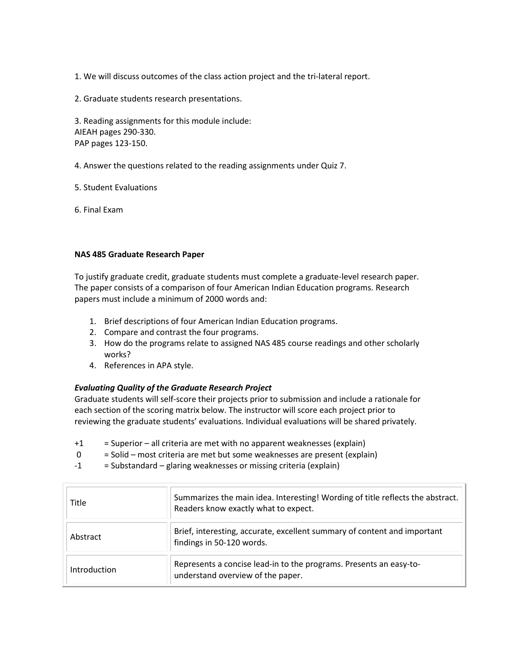1. We will discuss outcomes of the class action project and the tri-lateral report.

2. Graduate students research presentations.

3. Reading assignments for this module include: AIEAH pages 290-330. PAP pages 123-150.

4. Answer the questions related to the reading assignments under Quiz 7.

5. Student Evaluations

6. Final Exam

## **NAS 485 Graduate Research Paper**

To justify graduate credit, graduate students must complete a graduate-level research paper. The paper consists of a comparison of four American Indian Education programs. Research papers must include a minimum of 2000 words and:

- 1. Brief descriptions of four American Indian Education programs.
- 2. Compare and contrast the four programs.
- 3. How do the programs relate to assigned NAS 485 course readings and other scholarly works?
- 4. References in APA style.

# *Evaluating Quality of the Graduate Research Project*

Graduate students will self-score their projects prior to submission and include a rationale for each section of the scoring matrix below. The instructor will score each project prior to reviewing the graduate students' evaluations. Individual evaluations will be shared privately.

- +1 = Superior all criteria are met with no apparent weaknesses (explain)
- 0 = Solid most criteria are met but some weaknesses are present (explain)
- -1 = Substandard glaring weaknesses or missing criteria (explain)

| Title        | Summarizes the main idea. Interesting! Wording of title reflects the abstract.<br>Readers know exactly what to expect. |
|--------------|------------------------------------------------------------------------------------------------------------------------|
| Abstract     | Brief, interesting, accurate, excellent summary of content and important<br>findings in 50-120 words.                  |
| Introduction | Represents a concise lead-in to the programs. Presents an easy-to-<br>understand overview of the paper.                |